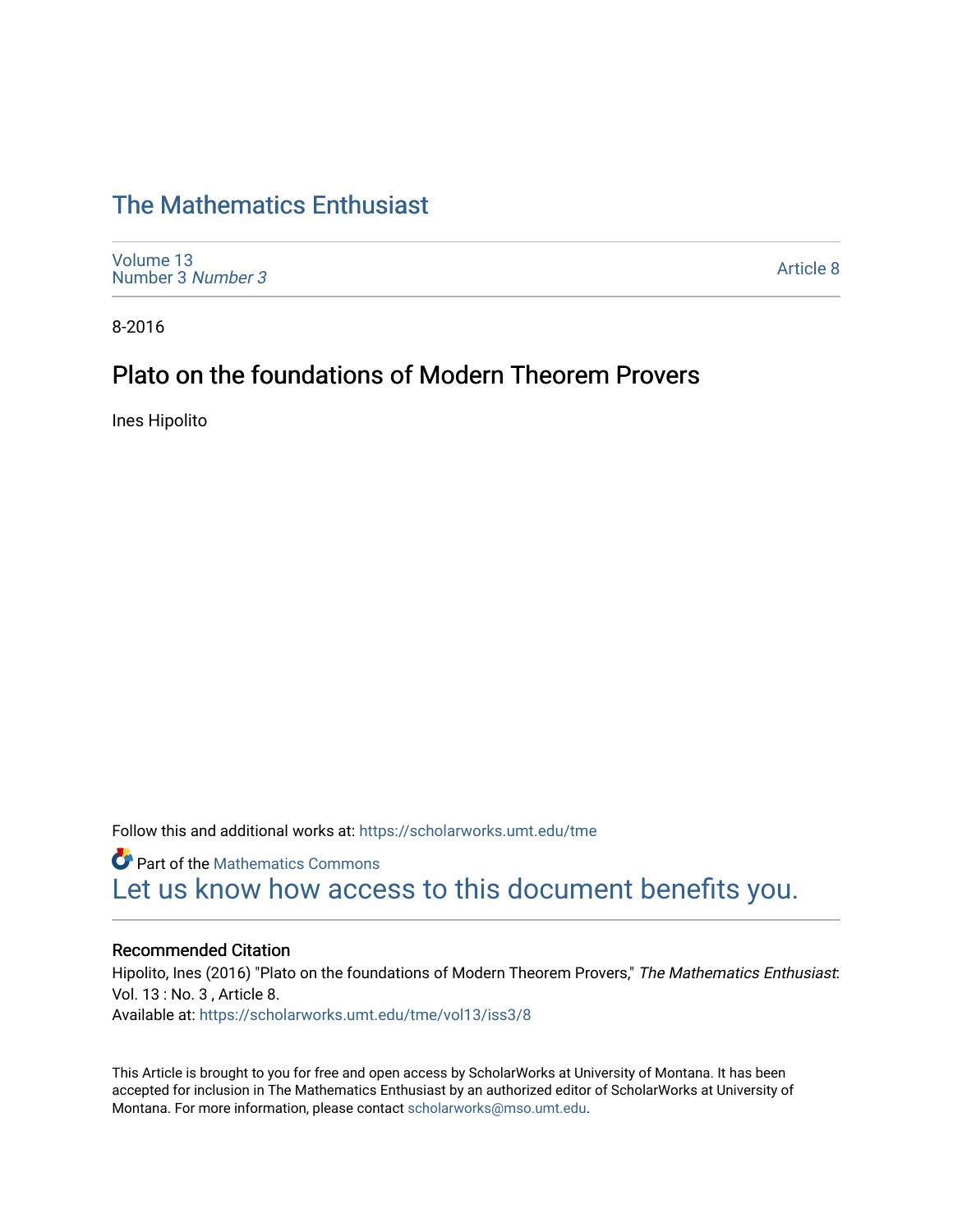# [The Mathematics Enthusiast](https://scholarworks.umt.edu/tme)

[Volume 13](https://scholarworks.umt.edu/tme/vol13) [Number 3](https://scholarworks.umt.edu/tme/vol13/iss3) Number 3

[Article 8](https://scholarworks.umt.edu/tme/vol13/iss3/8) 

8-2016

# Plato on the foundations of Modern Theorem Provers

Ines Hipolito

Follow this and additional works at: [https://scholarworks.umt.edu/tme](https://scholarworks.umt.edu/tme?utm_source=scholarworks.umt.edu%2Ftme%2Fvol13%2Fiss3%2F8&utm_medium=PDF&utm_campaign=PDFCoverPages) 

**Part of the [Mathematics Commons](http://network.bepress.com/hgg/discipline/174?utm_source=scholarworks.umt.edu%2Ftme%2Fvol13%2Fiss3%2F8&utm_medium=PDF&utm_campaign=PDFCoverPages)** [Let us know how access to this document benefits you.](https://goo.gl/forms/s2rGfXOLzz71qgsB2) 

## Recommended Citation

Hipolito, Ines (2016) "Plato on the foundations of Modern Theorem Provers," The Mathematics Enthusiast: Vol. 13 : No. 3 , Article 8.

Available at: [https://scholarworks.umt.edu/tme/vol13/iss3/8](https://scholarworks.umt.edu/tme/vol13/iss3/8?utm_source=scholarworks.umt.edu%2Ftme%2Fvol13%2Fiss3%2F8&utm_medium=PDF&utm_campaign=PDFCoverPages) 

This Article is brought to you for free and open access by ScholarWorks at University of Montana. It has been accepted for inclusion in The Mathematics Enthusiast by an authorized editor of ScholarWorks at University of Montana. For more information, please contact [scholarworks@mso.umt.edu.](mailto:scholarworks@mso.umt.edu)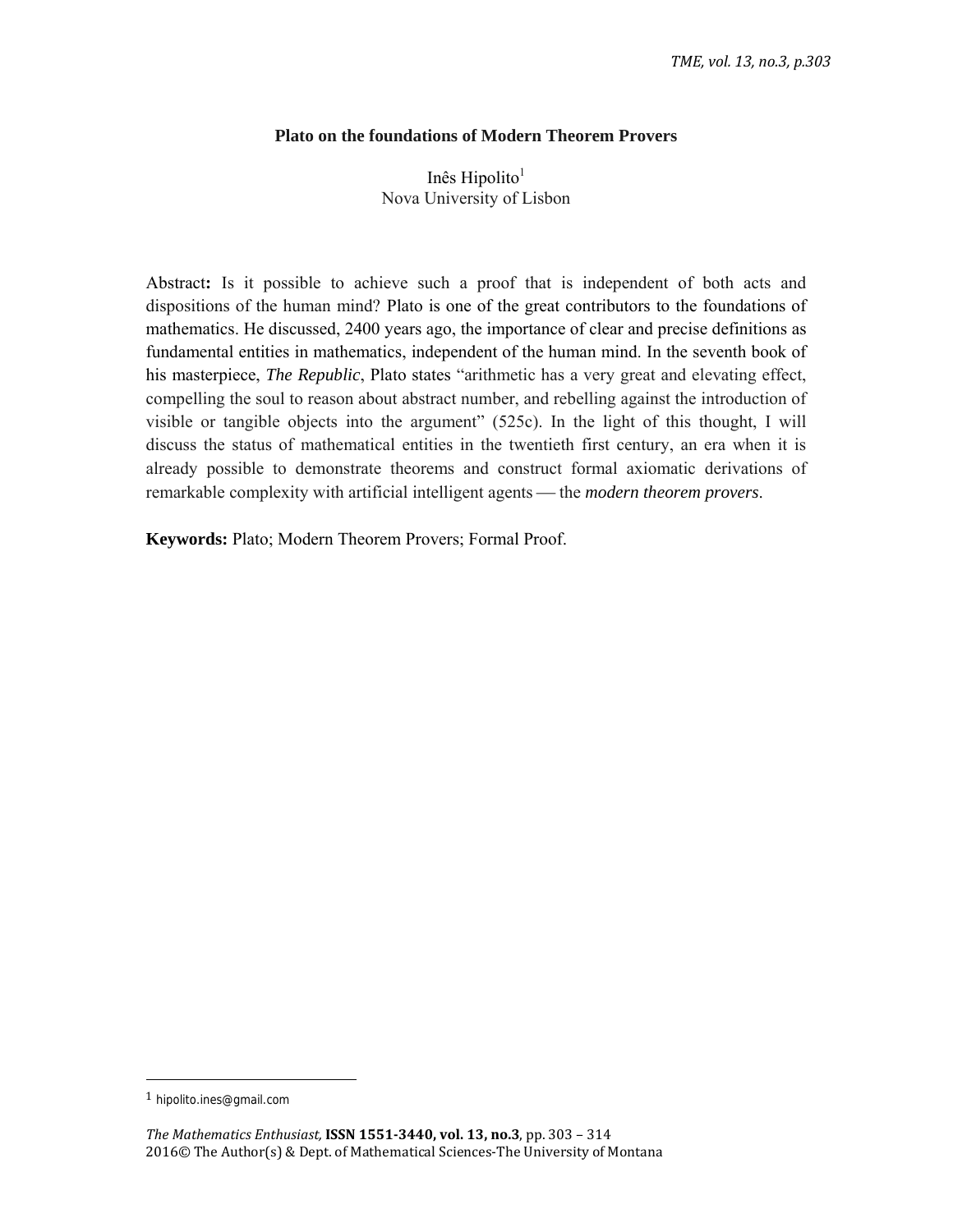# **Plato on the foundations of Modern Theorem Provers**

Inês Hipolito $<sup>1</sup>$ </sup> Nova University of Lisbon

Abstract**:** Is it possible to achieve such a proof that is independent of both acts and dispositions of the human mind? Plato is one of the great contributors to the foundations of mathematics. He discussed, 2400 years ago, the importance of clear and precise definitions as fundamental entities in mathematics, independent of the human mind. In the seventh book of his masterpiece, *The Republic*, Plato states "arithmetic has a very great and elevating effect, compelling the soul to reason about abstract number, and rebelling against the introduction of visible or tangible objects into the argument" (525c). In the light of this thought, I will discuss the status of mathematical entities in the twentieth first century, an era when it is already possible to demonstrate theorems and construct formal axiomatic derivations of remarkable complexity with artificial intelligent agents — the *modern theorem provers*.

**Keywords:** Plato; Modern Theorem Provers; Formal Proof.

<sup>1</sup> hipolito.ines@gmail.com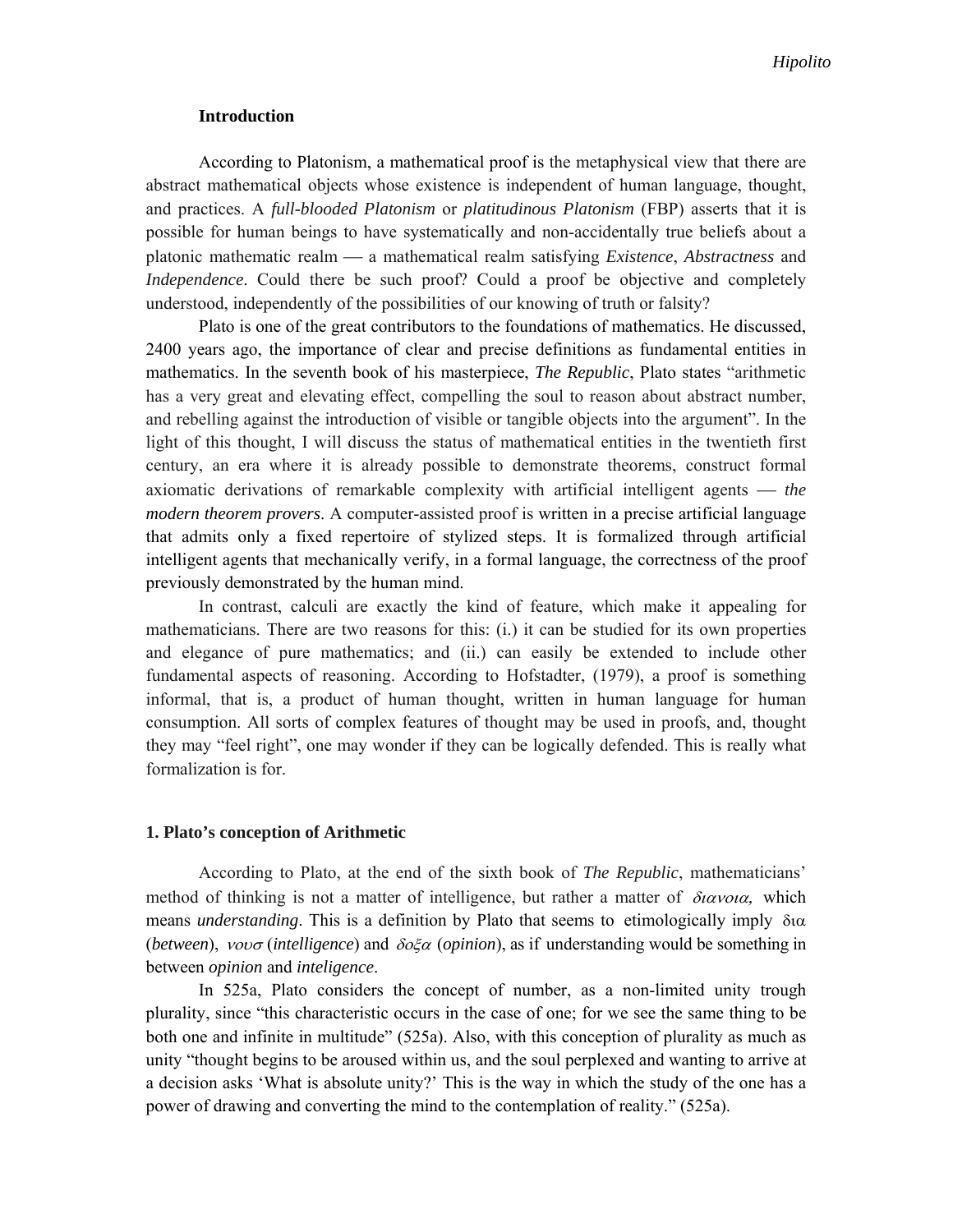#### **Introduction**

According to Platonism, a mathematical proof is the metaphysical view that there are abstract mathematical objects whose existence is independent of human language, thought, and practices. A *full-blooded Platonism* or *platitudinous Platonism* (FBP) asserts that it is possible for human beings to have systematically and non-accidentally true beliefs about a platonic mathematic realm a mathematical realm satisfying *Existence*, *Abstractness* and *Independence*. Could there be such proof? Could a proof be objective and completely understood, independently of the possibilities of our knowing of truth or falsity?

Plato is one of the great contributors to the foundations of mathematics. He discussed, 2400 years ago, the importance of clear and precise definitions as fundamental entities in mathematics. In the seventh book of his masterpiece, *The Republic*, Plato states "arithmetic has a very great and elevating effect, compelling the soul to reason about abstract number, and rebelling against the introduction of visible or tangible objects into the argument". In the light of this thought, I will discuss the status of mathematical entities in the twentieth first century, an era where it is already possible to demonstrate theorems, construct formal axiomatic derivations of remarkable complexity with artificial intelligent agents *the modern theorem provers*. A computer-assisted proof is written in a precise artificial language that admits only a fixed repertoire of stylized steps. It is formalized through artificial intelligent agents that mechanically verify, in a formal language, the correctness of the proof previously demonstrated by the human mind.

In contrast, calculi are exactly the kind of feature, which make it appealing for mathematicians. There are two reasons for this: (i.) it can be studied for its own properties and elegance of pure mathematics; and (ii.) can easily be extended to include other fundamental aspects of reasoning. According to Hofstadter, (1979), a proof is something informal, that is, a product of human thought, written in human language for human consumption. All sorts of complex features of thought may be used in proofs, and, thought they may "feel right", one may wonder if they can be logically defended. This is really what formalization is for.

#### **1. Plato's conception of Arithmetic**

According to Plato, at the end of the sixth book of *The Republic*, mathematicians' method of thinking is not a matter of intelligence, but rather a matter of  $\delta u \alpha v \alpha a$ , which means *understanding*. This is a definition by Plato that seems to etimologically imply  $\delta \alpha$ (*between*),  $vov\sigma$  (*intelligence*) and  $\delta o \xi \alpha$  (*opinion*), as if understanding would be something in between *opinion* and *inteligence*.

In 525a, Plato considers the concept of number, as a non-limited unity trough plurality, since "this characteristic occurs in the case of one; for we see the same thing to be both one and infinite in multitude" (525a). Also, with this conception of plurality as much as unity "thought begins to be aroused within us, and the soul perplexed and wanting to arrive at a decision asks 'What is absolute unity?' This is the way in which the study of the one has a power of drawing and converting the mind to the contemplation of reality." (525a).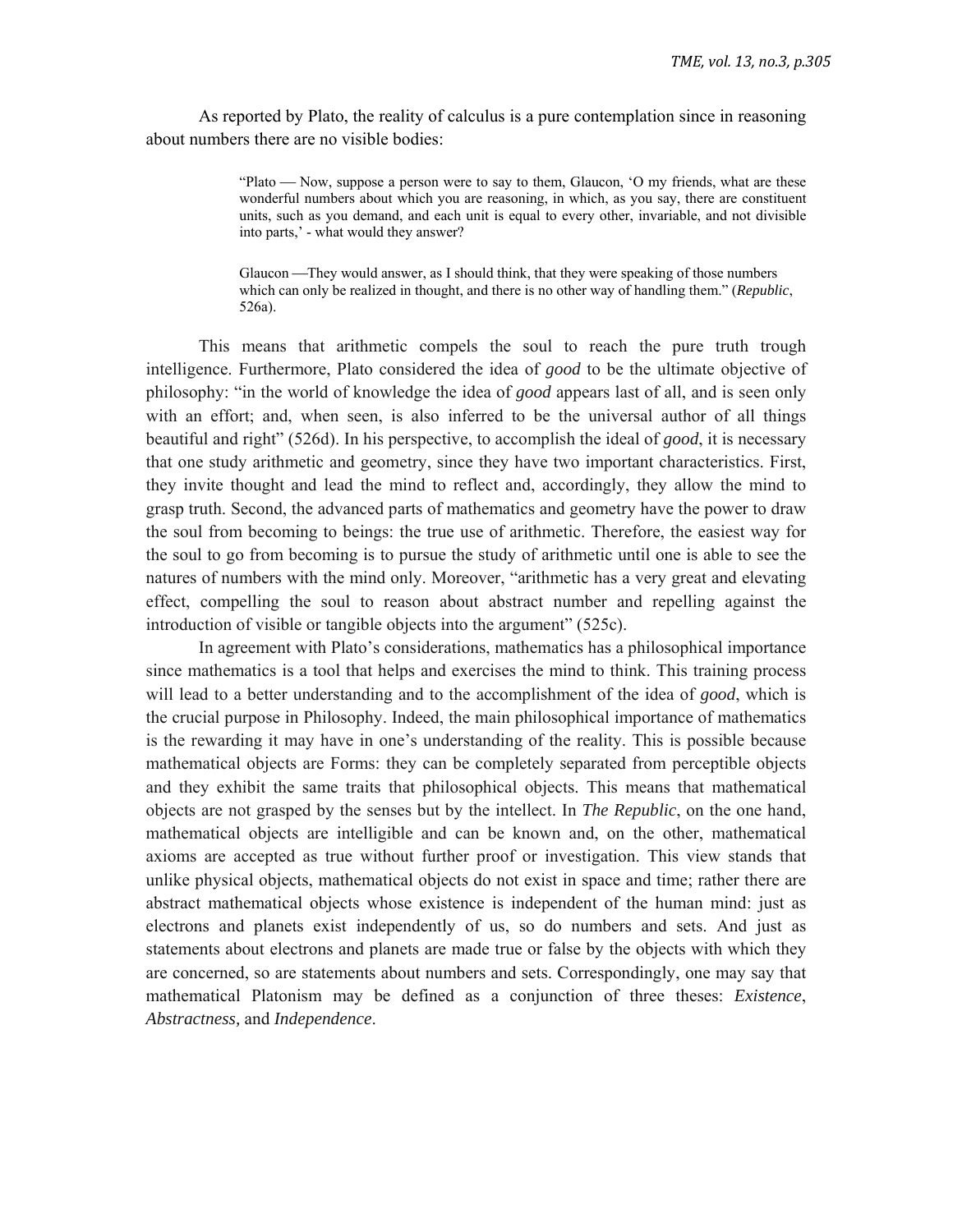As reported by Plato, the reality of calculus is a pure contemplation since in reasoning about numbers there are no visible bodies:

> "Plato — Now, suppose a person were to say to them, Glaucon, 'O my friends, what are these wonderful numbers about which you are reasoning, in which, as you say, there are constituent units, such as you demand, and each unit is equal to every other, invariable, and not divisible into parts,' - what would they answer?

Glaucon They would answer, as I should think, that they were speaking of those numbers which can only be realized in thought, and there is no other way of handling them." (*Republic*, 526a).

This means that arithmetic compels the soul to reach the pure truth trough intelligence. Furthermore, Plato considered the idea of *good* to be the ultimate objective of philosophy: "in the world of knowledge the idea of *good* appears last of all, and is seen only with an effort; and, when seen, is also inferred to be the universal author of all things beautiful and right" (526d). In his perspective, to accomplish the ideal of *good*, it is necessary that one study arithmetic and geometry, since they have two important characteristics. First, they invite thought and lead the mind to reflect and, accordingly, they allow the mind to grasp truth. Second, the advanced parts of mathematics and geometry have the power to draw the soul from becoming to beings: the true use of arithmetic. Therefore, the easiest way for the soul to go from becoming is to pursue the study of arithmetic until one is able to see the natures of numbers with the mind only. Moreover, "arithmetic has a very great and elevating effect, compelling the soul to reason about abstract number and repelling against the introduction of visible or tangible objects into the argument" (525c).

In agreement with Plato's considerations, mathematics has a philosophical importance since mathematics is a tool that helps and exercises the mind to think. This training process will lead to a better understanding and to the accomplishment of the idea of *good*, which is the crucial purpose in Philosophy. Indeed, the main philosophical importance of mathematics is the rewarding it may have in one's understanding of the reality. This is possible because mathematical objects are Forms: they can be completely separated from perceptible objects and they exhibit the same traits that philosophical objects. This means that mathematical objects are not grasped by the senses but by the intellect. In *The Republic*, on the one hand, mathematical objects are intelligible and can be known and, on the other, mathematical axioms are accepted as true without further proof or investigation. This view stands that unlike physical objects, mathematical objects do not exist in space and time; rather there are abstract mathematical objects whose existence is independent of the human mind: just as electrons and planets exist independently of us, so do numbers and sets. And just as statements about electrons and planets are made true or false by the objects with which they are concerned, so are statements about numbers and sets. Correspondingly, one may say that mathematical Platonism may be defined as a conjunction of three theses: *Existence*, *Abstractness,* and *Independence*.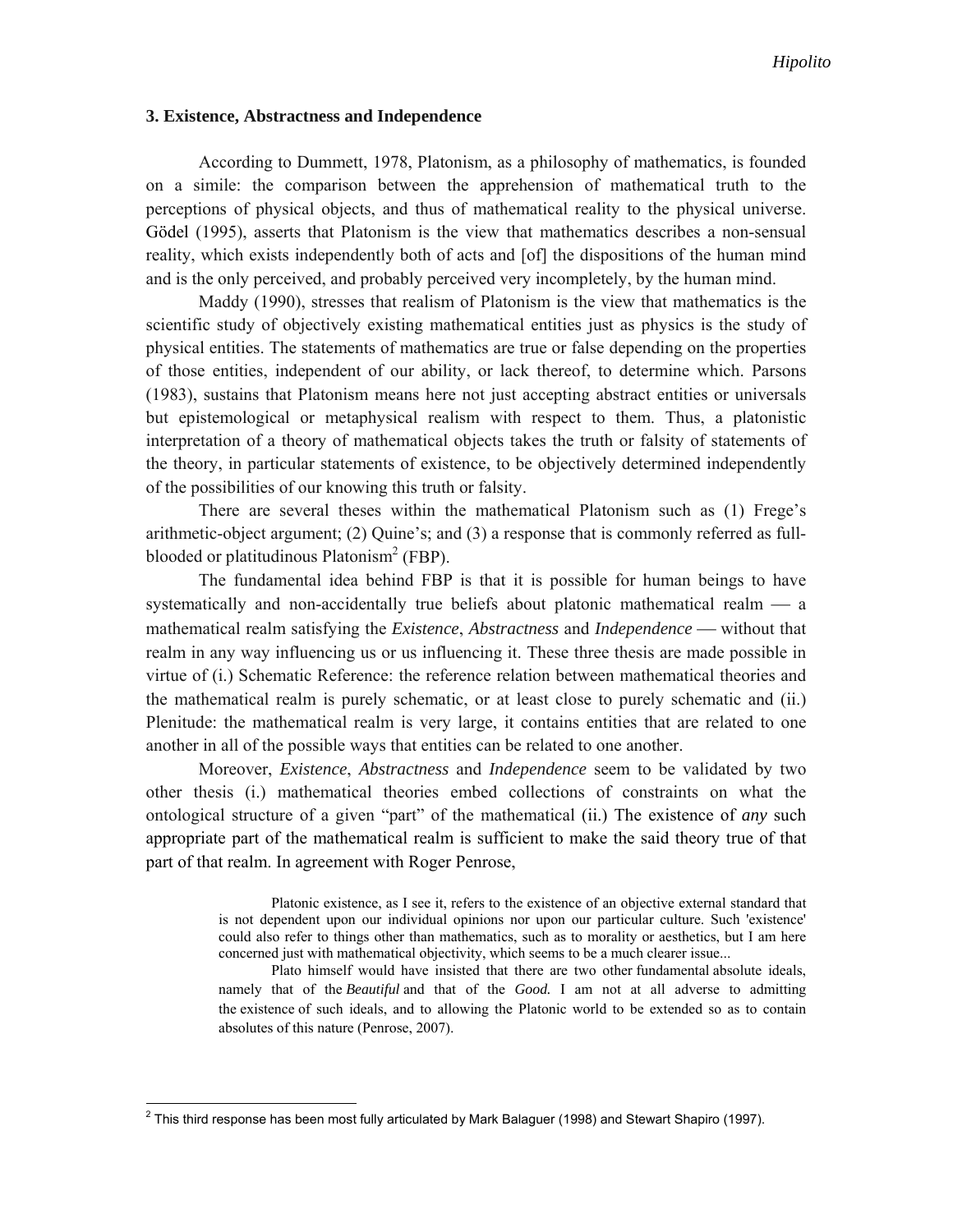### **3. Existence, Abstractness and Independence**

According to Dummett, 1978, Platonism, as a philosophy of mathematics, is founded on a simile: the comparison between the apprehension of mathematical truth to the perceptions of physical objects, and thus of mathematical reality to the physical universe. Gödel (1995), asserts that Platonism is the view that mathematics describes a non-sensual reality, which exists independently both of acts and [of] the dispositions of the human mind and is the only perceived, and probably perceived very incompletely, by the human mind.

Maddy (1990), stresses that realism of Platonism is the view that mathematics is the scientific study of objectively existing mathematical entities just as physics is the study of physical entities. The statements of mathematics are true or false depending on the properties of those entities, independent of our ability, or lack thereof, to determine which. Parsons (1983), sustains that Platonism means here not just accepting abstract entities or universals but epistemological or metaphysical realism with respect to them. Thus, a platonistic interpretation of a theory of mathematical objects takes the truth or falsity of statements of the theory, in particular statements of existence, to be objectively determined independently of the possibilities of our knowing this truth or falsity.

There are several theses within the mathematical Platonism such as (1) Frege's arithmetic-object argument; (2) Quine's; and (3) a response that is commonly referred as fullblooded or platitudinous Platonism<sup>2</sup> (FBP).

The fundamental idea behind FBP is that it is possible for human beings to have systematically and non-accidentally true beliefs about platonic mathematical realm  $\frac{1}{2}$  a mathematical realm satisfying the *Existence*, *Abstractness* and *Independence* without that realm in any way influencing us or us influencing it. These three thesis are made possible in virtue of (i.) Schematic Reference: the reference relation between mathematical theories and the mathematical realm is purely schematic, or at least close to purely schematic and (ii.) Plenitude: the mathematical realm is very large, it contains entities that are related to one another in all of the possible ways that entities can be related to one another.

Moreover, *Existence*, *Abstractness* and *Independence* seem to be validated by two other thesis (i.) mathematical theories embed collections of constraints on what the ontological structure of a given "part" of the mathematical (ii.) The existence of *any* such appropriate part of the mathematical realm is sufficient to make the said theory true of that part of that realm. In agreement with Roger Penrose,

> Platonic existence, as I see it, refers to the existence of an objective external standard that is not dependent upon our individual opinions nor upon our particular culture. Such 'existence' could also refer to things other than mathematics, such as to morality or aesthetics, but I am here concerned just with mathematical objectivity, which seems to be a much clearer issue...

> Plato himself would have insisted that there are two other fundamental absolute ideals, namely that of the *Beautiful* and that of the *Good.* I am not at all adverse to admitting the existence of such ideals, and to allowing the Platonic world to be extended so as to contain absolutes of this nature (Penrose, 2007).

<sup>&</sup>lt;u>2</u><br>2 This third response has been most fully articulated by Mark Balaguer (1998) and Stewart Shapiro (1997).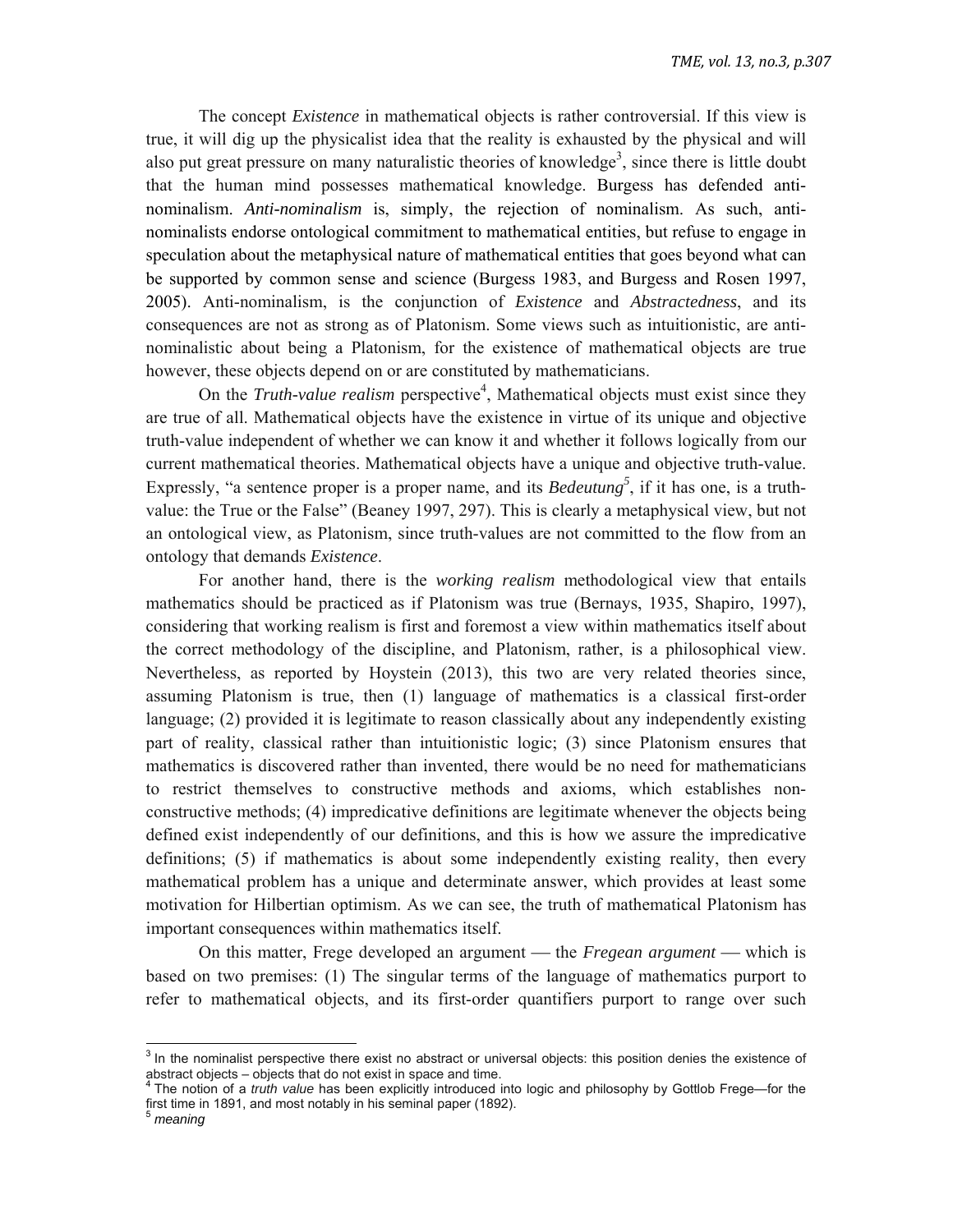The concept *Existence* in mathematical objects is rather controversial. If this view is true, it will dig up the physicalist idea that the reality is exhausted by the physical and will also put great pressure on many naturalistic theories of knowledge<sup>3</sup>, since there is little doubt that the human mind possesses mathematical knowledge. Burgess has defended antinominalism. *Anti-nominalism* is, simply, the rejection of nominalism. As such, antinominalists endorse ontological commitment to mathematical entities, but refuse to engage in speculation about the metaphysical nature of mathematical entities that goes beyond what can be supported by common sense and science (Burgess 1983, and Burgess and Rosen 1997, 2005). Anti-nominalism, is the conjunction of *Existence* and *Abstractedness*, and its consequences are not as strong as of Platonism. Some views such as intuitionistic, are antinominalistic about being a Platonism, for the existence of mathematical objects are true however, these objects depend on or are constituted by mathematicians.

On the *Truth-value realism* perspective<sup>4</sup>, Mathematical objects must exist since they are true of all. Mathematical objects have the existence in virtue of its unique and objective truth-value independent of whether we can know it and whether it follows logically from our current mathematical theories. Mathematical objects have a unique and objective truth-value. Expressly, "a sentence proper is a proper name, and its *Bedeutung*<sup>5</sup>, if it has one, is a truthvalue: the True or the False" (Beaney 1997, 297). This is clearly a metaphysical view, but not an ontological view, as Platonism, since truth-values are not committed to the flow from an ontology that demands *Existence*.

For another hand, there is the *working realism* methodological view that entails mathematics should be practiced as if Platonism was true (Bernays, 1935, Shapiro, 1997), considering that working realism is first and foremost a view within mathematics itself about the correct methodology of the discipline, and Platonism, rather, is a philosophical view. Nevertheless, as reported by Hoystein (2013), this two are very related theories since, assuming Platonism is true, then (1) language of mathematics is a classical first-order language; (2) provided it is legitimate to reason classically about any independently existing part of reality, classical rather than intuitionistic logic; (3) since Platonism ensures that mathematics is discovered rather than invented, there would be no need for mathematicians to restrict themselves to constructive methods and axioms, which establishes nonconstructive methods; (4) impredicative definitions are legitimate whenever the objects being defined exist independently of our definitions, and this is how we assure the impredicative definitions; (5) if mathematics is about some independently existing reality, then every mathematical problem has a unique and determinate answer, which provides at least some motivation for Hilbertian optimism. As we can see, the truth of mathematical Platonism has important consequences within mathematics itself.

On this matter, Frege developed an argument — the *Fregean argument* — which is based on two premises: (1) The singular terms of the language of mathematics purport to refer to mathematical objects, and its first-order quantifiers purport to range over such

 $3$  In the nominalist perspective there exist no abstract or universal objects: this position denies the existence of abstract objects – objects that do not exist in space and time.

abstract object.<br><sup>4</sup> The notion of a *truth value* has been explicitly introduced into logic and philosophy by Gottlob Frege—for the first time in 1891, and most notably in his seminal paper (1892).

<sup>5</sup> *meaning*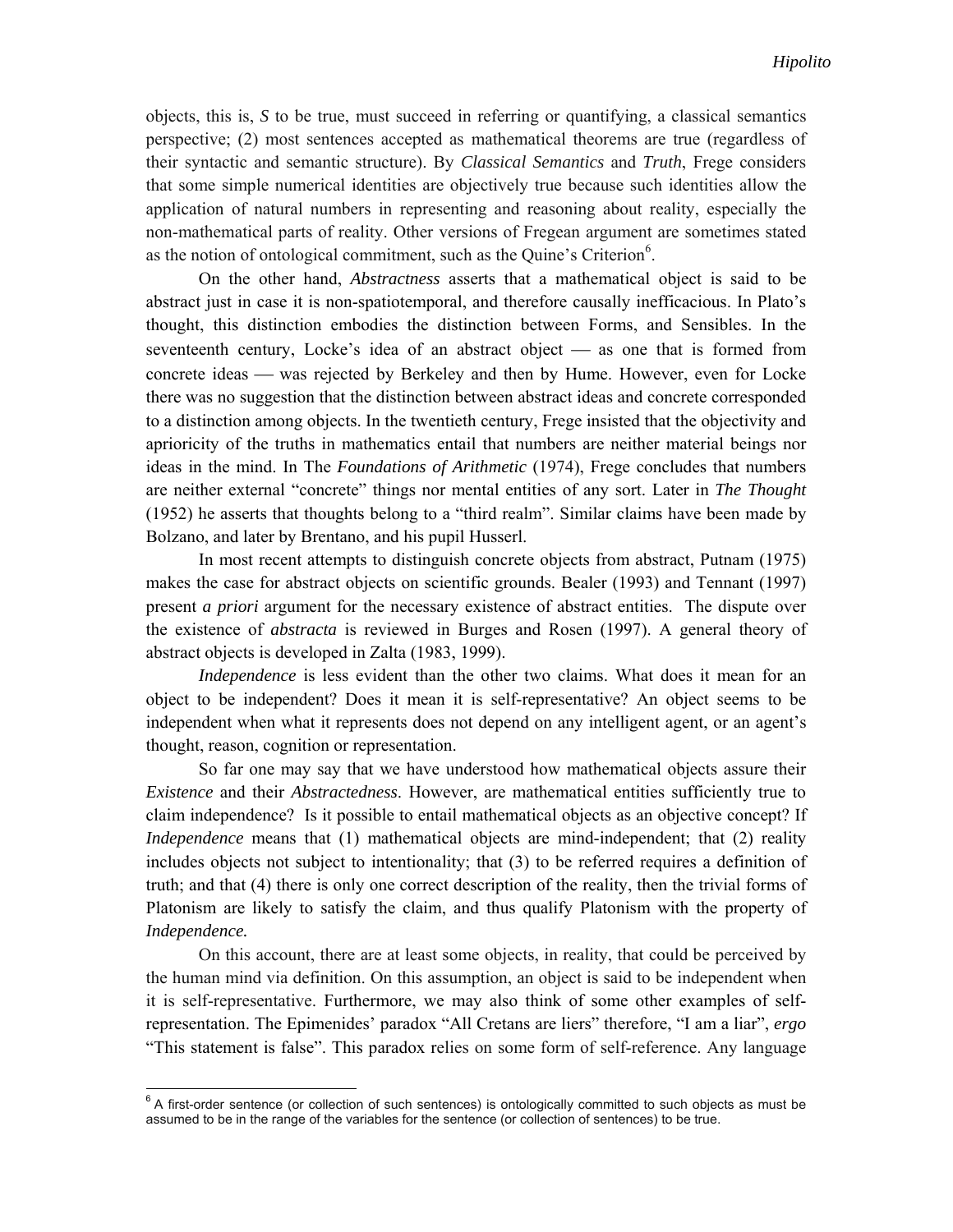objects, this is, *S* to be true, must succeed in referring or quantifying, a classical semantics perspective; (2) most sentences accepted as mathematical theorems are true (regardless of their syntactic and semantic structure). By *Classical Semantics* and *Truth*, Frege considers that some simple numerical identities are objectively true because such identities allow the application of natural numbers in representing and reasoning about reality, especially the non-mathematical parts of reality. Other versions of Fregean argument are sometimes stated as the notion of ontological commitment, such as the Quine's Criterion<sup>6</sup>.

On the other hand, *Abstractness* asserts that a mathematical object is said to be abstract just in case it is non-spatiotemporal, and therefore causally inefficacious. In Plato's thought, this distinction embodies the distinction between Forms, and Sensibles. In the seventeenth century, Locke's idea of an abstract object  $\_\$ as one that is formed from concrete ideas — was rejected by Berkeley and then by Hume. However, even for Locke there was no suggestion that the distinction between abstract ideas and concrete corresponded to a distinction among objects. In the twentieth century, Frege insisted that the objectivity and aprioricity of the truths in mathematics entail that numbers are neither material beings nor ideas in the mind. In The *Foundations of Arithmetic* (1974), Frege concludes that numbers are neither external "concrete" things nor mental entities of any sort. Later in *The Thought* (1952) he asserts that thoughts belong to a "third realm". Similar claims have been made by Bolzano, and later by Brentano, and his pupil Husserl.

In most recent attempts to distinguish concrete objects from abstract, Putnam (1975) makes the case for abstract objects on scientific grounds. Bealer (1993) and Tennant (1997) present *a priori* argument for the necessary existence of abstract entities. The dispute over the existence of *abstracta* is reviewed in Burges and Rosen (1997). A general theory of abstract objects is developed in Zalta (1983, 1999).

*Independence* is less evident than the other two claims. What does it mean for an object to be independent? Does it mean it is self-representative? An object seems to be independent when what it represents does not depend on any intelligent agent, or an agent's thought, reason, cognition or representation.

So far one may say that we have understood how mathematical objects assure their *Existence* and their *Abstractedness*. However, are mathematical entities sufficiently true to claim independence? Is it possible to entail mathematical objects as an objective concept? If *Independence* means that (1) mathematical objects are mind-independent; that (2) reality includes objects not subject to intentionality; that (3) to be referred requires a definition of truth; and that (4) there is only one correct description of the reality, then the trivial forms of Platonism are likely to satisfy the claim, and thus qualify Platonism with the property of *Independence.*

On this account, there are at least some objects, in reality, that could be perceived by the human mind via definition. On this assumption, an object is said to be independent when it is self-representative. Furthermore, we may also think of some other examples of selfrepresentation. The Epimenides' paradox "All Cretans are liers" therefore, "I am a liar", *ergo* "This statement is false". This paradox relies on some form of self-reference. Any language

 $6$  A first-order sentence (or collection of such sentences) is ontologically committed to such objects as must be assumed to be in the range of the variables for the sentence (or collection of sentences) to be true.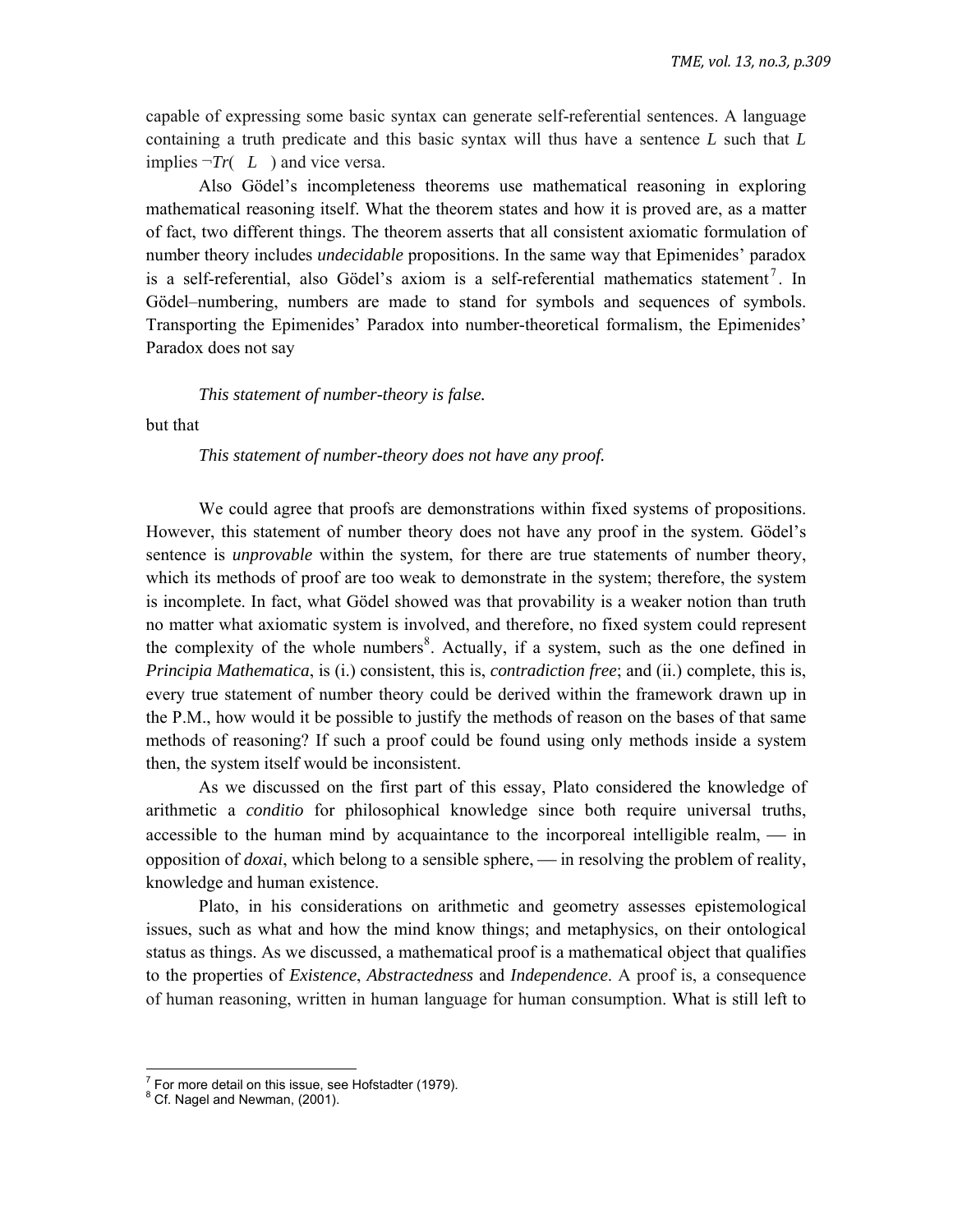capable of expressing some basic syntax can generate self-referential sentences. A language containing a truth predicate and this basic syntax will thus have a sentence *L* such that *L* implies  $\neg Tr(L)$  and vice versa.

Also Gödel's incompleteness theorems use mathematical reasoning in exploring mathematical reasoning itself. What the theorem states and how it is proved are, as a matter of fact, two different things. The theorem asserts that all consistent axiomatic formulation of number theory includes *undecidable* propositions. In the same way that Epimenides' paradox is a self-referential, also Gödel's axiom is a self-referential mathematics statement<sup>7</sup>. In Gödel–numbering, numbers are made to stand for symbols and sequences of symbols. Transporting the Epimenides' Paradox into number-theoretical formalism, the Epimenides' Paradox does not say

*This statement of number-theory is false.* 

but that

*This statement of number-theory does not have any proof.* 

We could agree that proofs are demonstrations within fixed systems of propositions. However, this statement of number theory does not have any proof in the system. Gödel's sentence is *unprovable* within the system, for there are true statements of number theory, which its methods of proof are too weak to demonstrate in the system; therefore, the system is incomplete. In fact, what Gödel showed was that provability is a weaker notion than truth no matter what axiomatic system is involved, and therefore, no fixed system could represent the complexity of the whole numbers<sup>8</sup>. Actually, if a system, such as the one defined in *Principia Mathematica*, is (i.) consistent, this is, *contradiction free*; and (ii.) complete, this is, every true statement of number theory could be derived within the framework drawn up in the P.M., how would it be possible to justify the methods of reason on the bases of that same methods of reasoning? If such a proof could be found using only methods inside a system then, the system itself would be inconsistent.

As we discussed on the first part of this essay, Plato considered the knowledge of arithmetic a *conditio* for philosophical knowledge since both require universal truths, accessible to the human mind by acquaintance to the incorporeal intelligible realm,  $-$  in opposition of  $doxai$ , which belong to a sensible sphere,  $\frac{1}{1}$  in resolving the problem of reality, knowledge and human existence.

Plato, in his considerations on arithmetic and geometry assesses epistemological issues, such as what and how the mind know things; and metaphysics, on their ontological status as things. As we discussed, a mathematical proof is a mathematical object that qualifies to the properties of *Existence*, *Abstractedness* and *Independence*. A proof is, a consequence of human reasoning, written in human language for human consumption. What is still left to

 $7$  For more detail on this issue, see Hofstadter (1979).

 $8$  Cf. Nagel and Newman, (2001).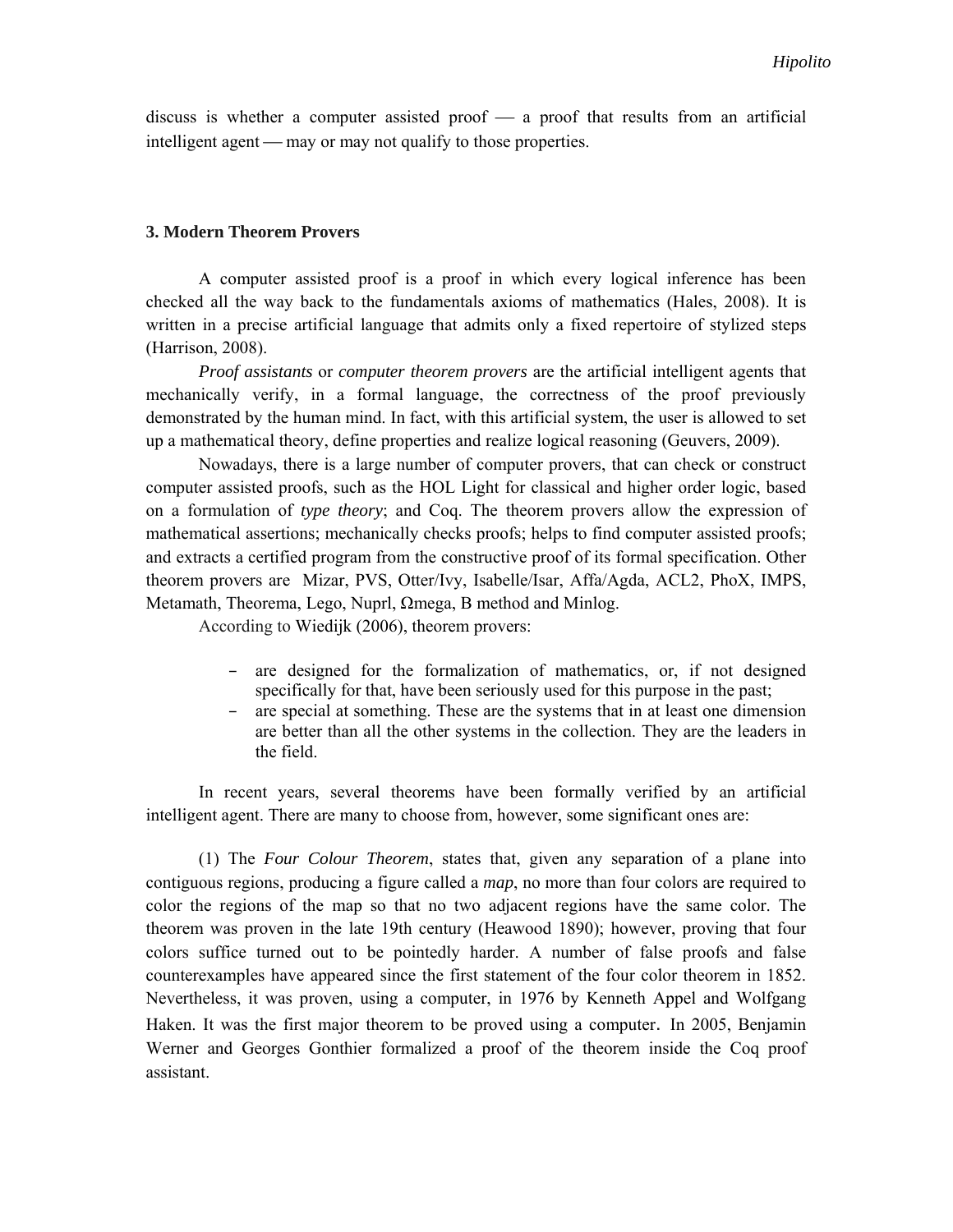discuss is whether a computer assisted proof  $-$  a proof that results from an artificial intelligent agent — may or may not qualify to those properties.

### **3. Modern Theorem Provers**

A computer assisted proof is a proof in which every logical inference has been checked all the way back to the fundamentals axioms of mathematics (Hales, 2008). It is written in a precise artificial language that admits only a fixed repertoire of stylized steps (Harrison, 2008).

*Proof assistants* or *computer theorem provers* are the artificial intelligent agents that mechanically verify, in a formal language, the correctness of the proof previously demonstrated by the human mind. In fact, with this artificial system, the user is allowed to set up a mathematical theory, define properties and realize logical reasoning (Geuvers, 2009).

Nowadays, there is a large number of computer provers, that can check or construct computer assisted proofs, such as the HOL Light for classical and higher order logic, based on a formulation of *type theory*; and Coq. The theorem provers allow the expression of mathematical assertions; mechanically checks proofs; helps to find computer assisted proofs; and extracts a certified program from the constructive proof of its formal specification. Other theorem provers are Mizar, PVS, Otter/Ivy, Isabelle/Isar, Affa/Agda, ACL2, PhoX, IMPS, Metamath, Theorema, Lego, Nuprl, Ωmega, B method and Minlog.

According to Wiedijk (2006), theorem provers:

- are designed for the formalization of mathematics, or, if not designed specifically for that, have been seriously used for this purpose in the past;
- are special at something. These are the systems that in at least one dimension are better than all the other systems in the collection. They are the leaders in the field.

In recent years, several theorems have been formally verified by an artificial intelligent agent. There are many to choose from, however, some significant ones are:

 (1) The *Four Colour Theorem*, states that, given any separation of a plane into contiguous regions, producing a figure called a *map*, no more than four colors are required to color the regions of the map so that no two adjacent regions have the same color. The theorem was proven in the late 19th century (Heawood 1890); however, proving that four colors suffice turned out to be pointedly harder. A number of false proofs and false counterexamples have appeared since the first statement of the four color theorem in 1852. Nevertheless, it was proven, using a computer, in 1976 by Kenneth Appel and Wolfgang Haken. It was the first major theorem to be proved using a computer. In 2005, Benjamin Werner and Georges Gonthier formalized a proof of the theorem inside the Coq proof assistant.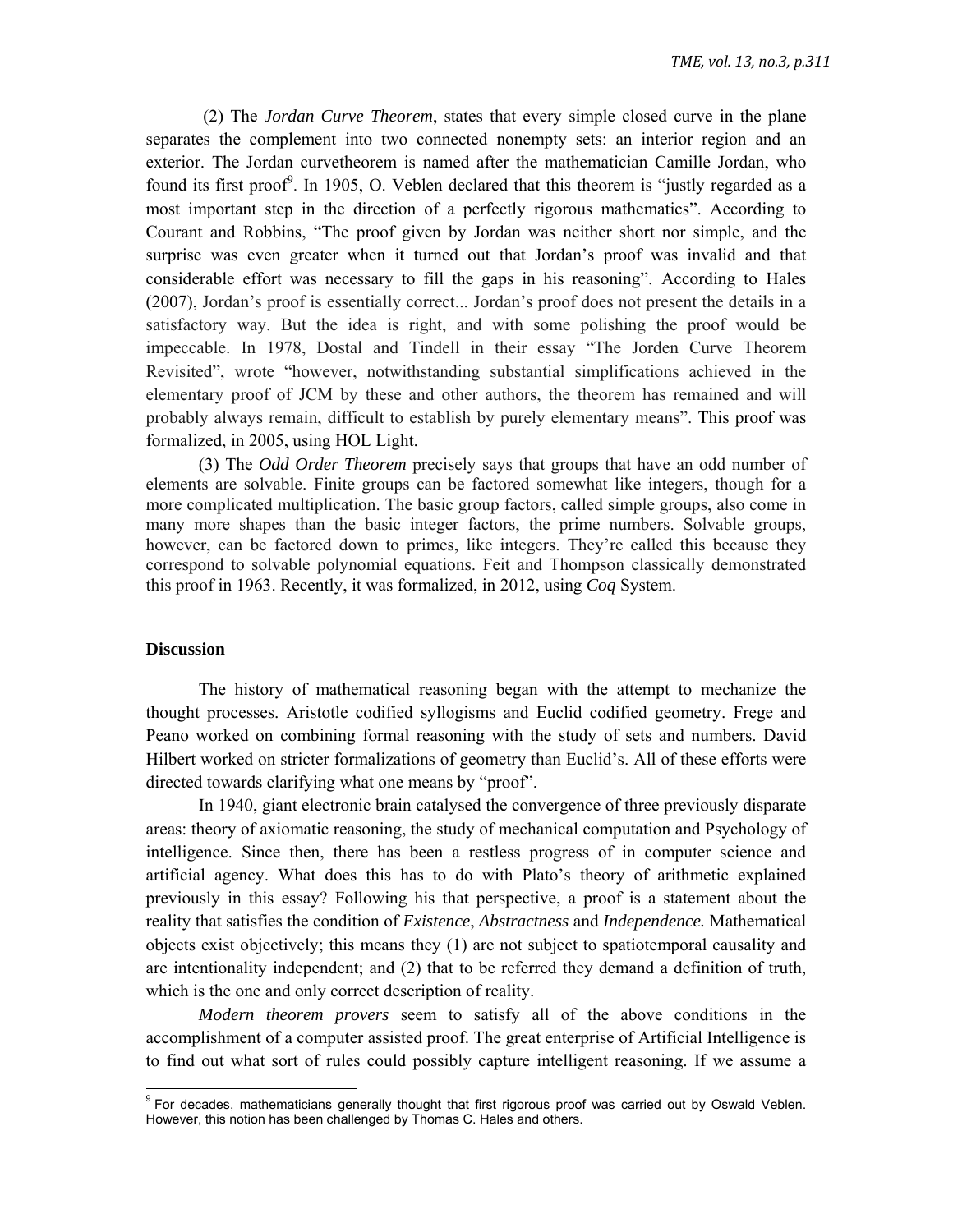(2) The *Jordan Curve Theorem*, states that every simple closed curve in the plane separates the complement into two connected nonempty sets: an interior region and an exterior. The Jordan curvetheorem is named after the mathematician Camille Jordan, who found its first proof<sup> $\theta$ </sup>. In 1905, O. Veblen declared that this theorem is "justly regarded as a most important step in the direction of a perfectly rigorous mathematics". According to Courant and Robbins, "The proof given by Jordan was neither short nor simple, and the surprise was even greater when it turned out that Jordan's proof was invalid and that considerable effort was necessary to fill the gaps in his reasoning". According to Hales (2007), Jordan's proof is essentially correct... Jordan's proof does not present the details in a satisfactory way. But the idea is right, and with some polishing the proof would be impeccable. In 1978, Dostal and Tindell in their essay "The Jorden Curve Theorem Revisited", wrote "however, notwithstanding substantial simplifications achieved in the elementary proof of JCM by these and other authors, the theorem has remained and will probably always remain, difficult to establish by purely elementary means". This proof was formalized, in 2005, using HOL Light.

(3) The *Odd Order Theorem* precisely says that groups that have an odd number of elements are solvable. Finite groups can be factored somewhat like integers, though for a more complicated multiplication. The basic group factors, called simple groups, also come in many more shapes than the basic integer factors, the prime numbers. Solvable groups, however, can be factored down to primes, like integers. They're called this because they correspond to solvable polynomial equations. Feit and Thompson classically demonstrated this proof in 1963. Recently, it was formalized, in 2012, using *Coq* System.

#### **Discussion**

The history of mathematical reasoning began with the attempt to mechanize the thought processes. Aristotle codified syllogisms and Euclid codified geometry. Frege and Peano worked on combining formal reasoning with the study of sets and numbers. David Hilbert worked on stricter formalizations of geometry than Euclid's. All of these efforts were directed towards clarifying what one means by "proof".

In 1940, giant electronic brain catalysed the convergence of three previously disparate areas: theory of axiomatic reasoning, the study of mechanical computation and Psychology of intelligence. Since then, there has been a restless progress of in computer science and artificial agency. What does this has to do with Plato's theory of arithmetic explained previously in this essay? Following his that perspective, a proof is a statement about the reality that satisfies the condition of *Existence*, *Abstractness* and *Independence.* Mathematical objects exist objectively; this means they (1) are not subject to spatiotemporal causality and are intentionality independent; and (2) that to be referred they demand a definition of truth, which is the one and only correct description of reality.

*Modern theorem provers* seem to satisfy all of the above conditions in the accomplishment of a computer assisted proof. The great enterprise of Artificial Intelligence is to find out what sort of rules could possibly capture intelligent reasoning. If we assume a

enties and the mathematicians of the distribution of that first rigorous proof was carried out by Oswald Veblen.<br>The for decades, mathematicians generally thought that first rigorous proof was carried out by Oswald Veblen. However, this notion has been challenged by Thomas C. Hales and others.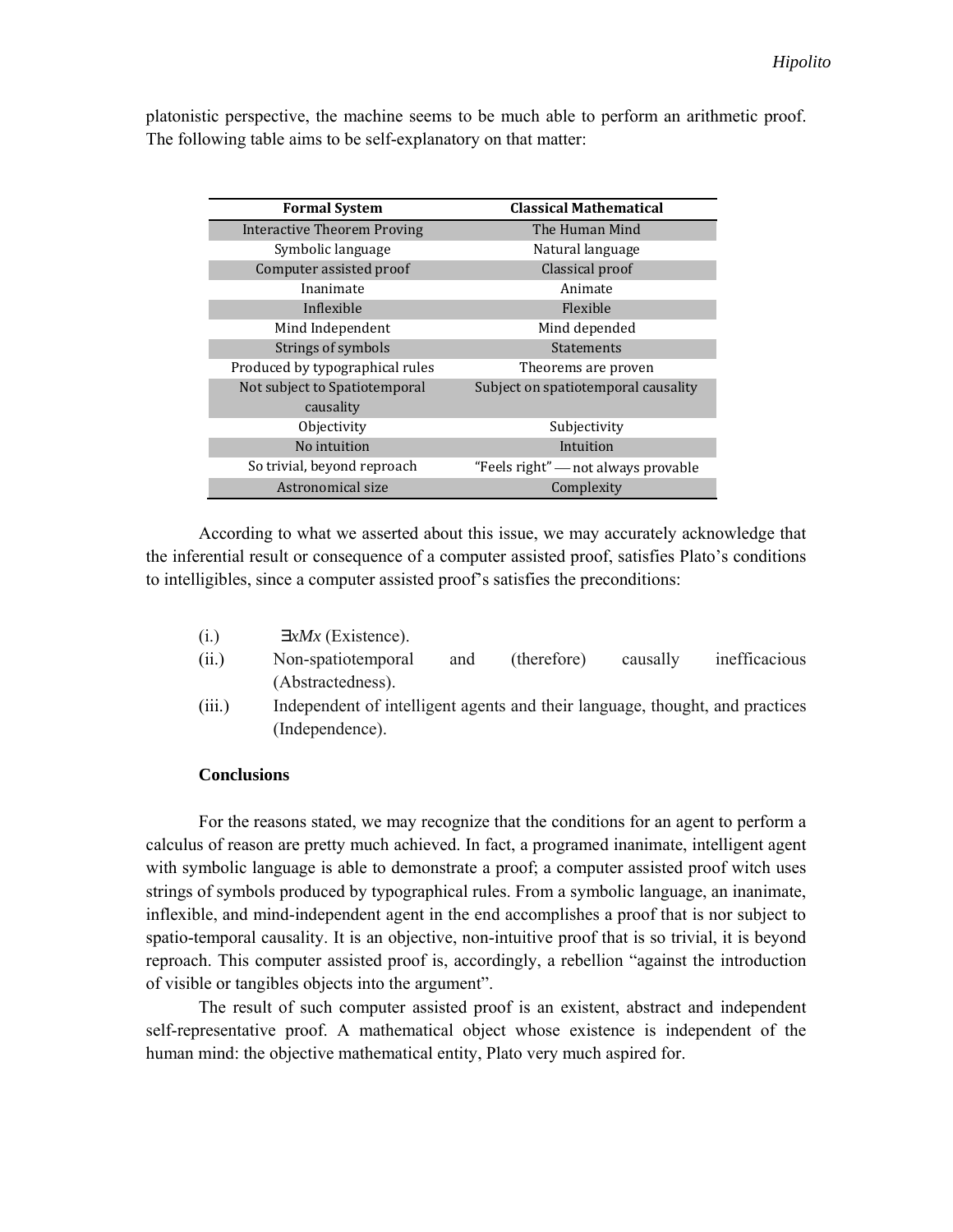platonistic perspective, the machine seems to be much able to perform an arithmetic proof. The following table aims to be self-explanatory on that matter:

| <b>Formal System</b>            | <b>Classical Mathematical</b>       |
|---------------------------------|-------------------------------------|
| Interactive Theorem Proving     | The Human Mind                      |
| Symbolic language               | Natural language                    |
| Computer assisted proof         | Classical proof                     |
| Inanimate                       | Animate                             |
| Inflexible                      | Flexible                            |
| Mind Independent                | Mind depended                       |
| Strings of symbols              | <b>Statements</b>                   |
| Produced by typographical rules | Theorems are proven                 |
| Not subject to Spatiotemporal   | Subject on spatiotemporal causality |
| causality                       |                                     |
| Objectivity                     | Subjectivity                        |
| No intuition                    | Intuition                           |
| So trivial, beyond reproach     | "Feels right" — not always provable |
| Astronomical size               | Complexity                          |

According to what we asserted about this issue, we may accurately acknowledge that the inferential result or consequence of a computer assisted proof, satisfies Plato's conditions to intelligibles, since a computer assisted proof's satisfies the preconditions:

- $\exists x Mx$  (Existence).
- (ii.) Non-spatiotemporal and (therefore) causally inefficacious (Abstractedness).
- (iii.) Independent of intelligent agents and their language, thought, and practices (Independence).

## **Conclusions**

For the reasons stated, we may recognize that the conditions for an agent to perform a calculus of reason are pretty much achieved. In fact, a programed inanimate, intelligent agent with symbolic language is able to demonstrate a proof; a computer assisted proof witch uses strings of symbols produced by typographical rules. From a symbolic language, an inanimate, inflexible, and mind-independent agent in the end accomplishes a proof that is nor subject to spatio-temporal causality. It is an objective, non-intuitive proof that is so trivial, it is beyond reproach. This computer assisted proof is, accordingly, a rebellion "against the introduction of visible or tangibles objects into the argument".

The result of such computer assisted proof is an existent, abstract and independent self-representative proof. A mathematical object whose existence is independent of the human mind: the objective mathematical entity, Plato very much aspired for.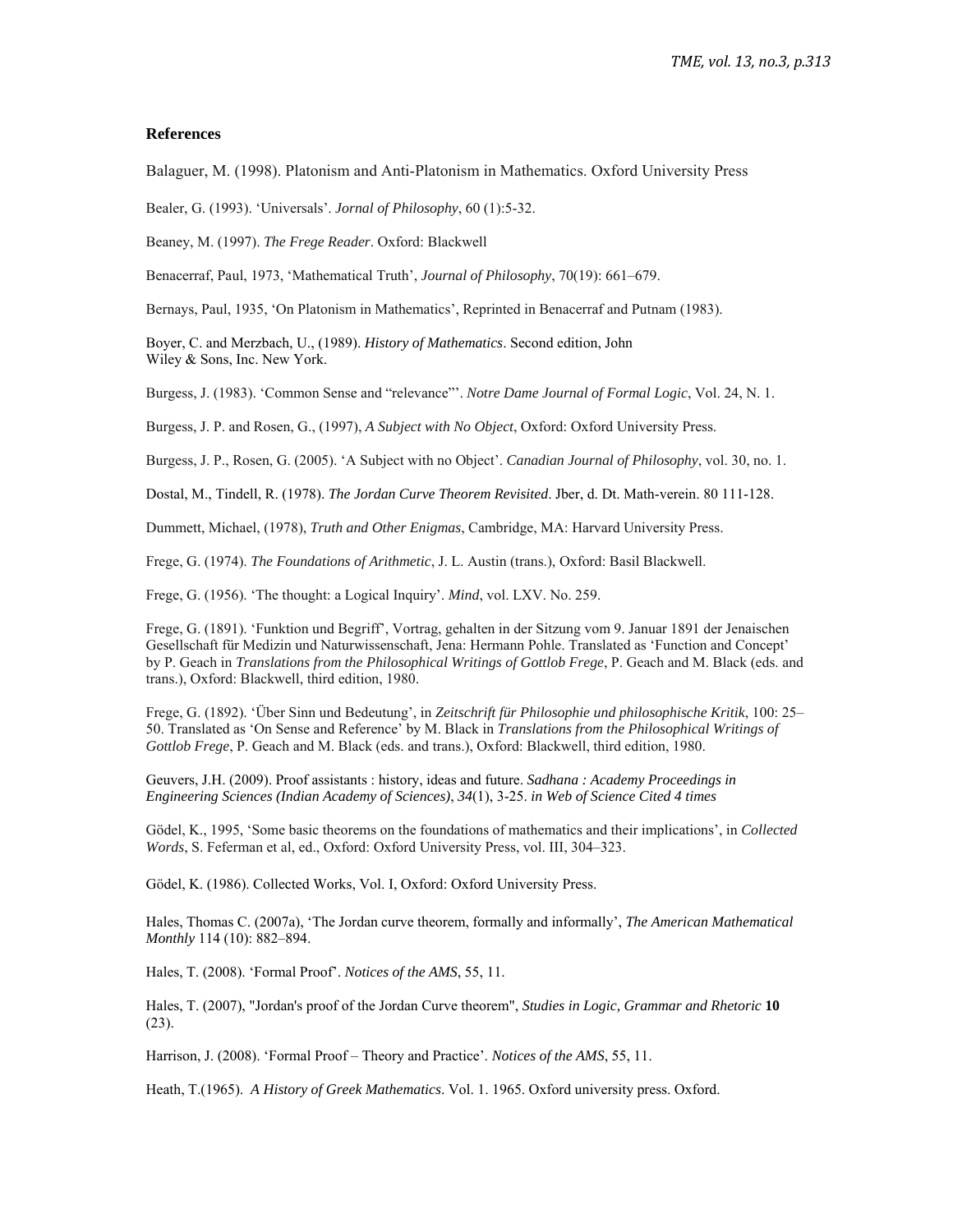#### **References**

Balaguer, M. (1998). Platonism and Anti-Platonism in Mathematics. Oxford University Press

Bealer, G. (1993). 'Universals'. *Jornal of Philosophy*, 60 (1):5-32.

Beaney, M. (1997). *The Frege Reader*. Oxford: Blackwell

Benacerraf, Paul, 1973, 'Mathematical Truth', *Journal of Philosophy*, 70(19): 661–679.

Bernays, Paul, 1935, 'On Platonism in Mathematics', Reprinted in Benacerraf and Putnam (1983).

Boyer, C. and Merzbach, U., (1989). *History of Mathematics*. Second edition, John Wiley & Sons, Inc. New York.

Burgess, J. (1983). 'Common Sense and "relevance"'. *Notre Dame Journal of Formal Logic*, Vol. 24, N. 1.

Burgess, J. P. and Rosen, G., (1997), *A Subject with No Object*, Oxford: Oxford University Press.

Burgess, J. P., Rosen, G. (2005). 'A Subject with no Object'. *Canadian Journal of Philosophy*, vol. 30, no. 1.

Dostal, M., Tindell, R. (1978). *The Jordan Curve Theorem Revisited*. Jber, d. Dt. Math-verein. 80 111-128.

Dummett, Michael, (1978), *Truth and Other Enigmas*, Cambridge, MA: Harvard University Press.

Frege, G. (1974). *The Foundations of Arithmetic*, J. L. Austin (trans.), Oxford: Basil Blackwell.

Frege, G. (1956). 'The thought: a Logical Inquiry'. *Mind*, vol. LXV. No. 259.

Frege, G. (1891). 'Funktion und Begriff', Vortrag, gehalten in der Sitzung vom 9. Januar 1891 der Jenaischen Gesellschaft für Medizin und Naturwissenschaft, Jena: Hermann Pohle. Translated as 'Function and Concept' by P. Geach in *Translations from the Philosophical Writings of Gottlob Frege*, P. Geach and M. Black (eds. and trans.), Oxford: Blackwell, third edition, 1980.

Frege, G. (1892). 'Über Sinn und Bedeutung', in *Zeitschrift für Philosophie und philosophische Kritik*, 100: 25– 50. Translated as 'On Sense and Reference' by M. Black in *Translations from the Philosophical Writings of Gottlob Frege*, P. Geach and M. Black (eds. and trans.), Oxford: Blackwell, third edition, 1980.

Geuvers, J.H. (2009). Proof assistants : history, ideas and future. *Sadhana : Academy Proceedings in Engineering Sciences (Indian Academy of Sciences)*, *34*(1), 3-25. *in Web of Science Cited 4 times*

Gödel, K., 1995, 'Some basic theorems on the foundations of mathematics and their implications', in *Collected Words*, S. Feferman et al, ed., Oxford: Oxford University Press, vol. III, 304–323.

Gödel, K. (1986). Collected Works, Vol. I, Oxford: Oxford University Press.

Hales, Thomas C. (2007a), 'The Jordan curve theorem, formally and informally', *The American Mathematical Monthly* 114 (10): 882–894.

Hales, T. (2008). 'Formal Proof'. *Notices of the AMS*, 55, 11.

Hales, T. (2007), "Jordan's proof of the Jordan Curve theorem", *Studies in Logic, Grammar and Rhetoric* **10** (23).

Harrison, J. (2008). 'Formal Proof – Theory and Practice'. *Notices of the AMS*, 55, 11.

Heath, T.(1965). *A History of Greek Mathematics*. Vol. 1. 1965. Oxford university press. Oxford.